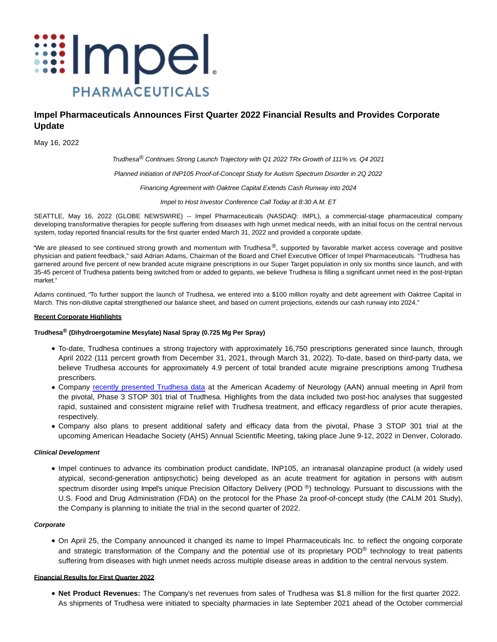

# **Impel Pharmaceuticals Announces First Quarter 2022 Financial Results and Provides Corporate Update**

May 16, 2022

Trudhesa® Continues Strong Launch Trajectory with Q1 2022 TRx Growth of 111% vs. Q4 2021

Planned initiation of INP105 Proof-of-Concept Study for Autism Spectrum Disorder in 2Q 2022

Financing Agreement with Oaktree Capital Extends Cash Runway into 2024

Impel to Host Investor Conference Call Today at 8:30 A.M. ET

SEATTLE, May 16, 2022 (GLOBE NEWSWIRE) -- Impel Pharmaceuticals (NASDAQ: IMPL), a commercial-stage pharmaceutical company developing transformative therapies for people suffering from diseases with high unmet medical needs, with an initial focus on the central nervous system, today reported financial results for the first quarter ended March 31, 2022 and provided a corporate update.

"We are pleased to see continued strong growth and momentum with Trudhesa®, supported by favorable market access coverage and positive physician and patient feedback," said Adrian Adams, Chairman of the Board and Chief Executive Officer of Impel Pharmaceuticals. "Trudhesa has garnered around five percent of new branded acute migraine prescriptions in our Super Target population in only six months since launch, and with 35-45 percent of Trudhesa patients being switched from or added to gepants, we believe Trudhesa is filling a significant unmet need in the post-triptan market."

Adams continued, "To further support the launch of Trudhesa, we entered into a \$100 million royalty and debt agreement with Oaktree Capital in March. This non-dilutive capital strengthened our balance sheet, and based on current projections, extends our cash runway into 2024."

# **Recent Corporate Highlights**

# **Trudhesa® (Dihydroergotamine Mesylate) Nasal Spray (0.725 Mg Per Spray)**

- To-date, Trudhesa continues a strong trajectory with approximately 16,750 prescriptions generated since launch, through April 2022 (111 percent growth from December 31, 2021, through March 31, 2022). To-date, based on third-party data, we believe Trudhesa accounts for approximately 4.9 percent of total branded acute migraine prescriptions among Trudhesa prescribers.
- Company [recently presented Trudhesa data](https://investors.impelpharma.com/news-releases/news-release-details/impel-neuropharma-present-trudhesatm-data-2022-scientific) at the American Academy of Neurology (AAN) annual meeting in April from the pivotal, Phase 3 STOP 301 trial of Trudhesa. Highlights from the data included two post-hoc analyses that suggested rapid, sustained and consistent migraine relief with Trudhesa treatment, and efficacy regardless of prior acute therapies, respectively.
- Company also plans to present additional safety and efficacy data from the pivotal, Phase 3 STOP 301 trial at the upcoming American Headache Society (AHS) Annual Scientific Meeting, taking place June 9-12, 2022 in Denver, Colorado.

# **Clinical Development**

Impel continues to advance its combination product candidate, INP105, an intranasal olanzapine product (a widely used atypical, second-generation antipsychotic) being developed as an acute treatment for agitation in persons with autism spectrum disorder using Impel's unique Precision Olfactory Delivery (POD ®) technology. Pursuant to discussions with the U.S. Food and Drug Administration (FDA) on the protocol for the Phase 2a proof-of-concept study (the CALM 201 Study), the Company is planning to initiate the trial in the second quarter of 2022.

# **Corporate**

On April 25, the Company announced it changed its name to Impel Pharmaceuticals Inc. to reflect the ongoing corporate and strategic transformation of the Company and the potential use of its proprietary POD<sup>®</sup> technology to treat patients suffering from diseases with high unmet needs across multiple disease areas in addition to the central nervous system.

# **Financial Results for First Quarter 2022**

**Net Product Revenues:** The Company's net revenues from sales of Trudhesa was \$1.8 million for the first quarter 2022. As shipments of Trudhesa were initiated to specialty pharmacies in late September 2021 ahead of the October commercial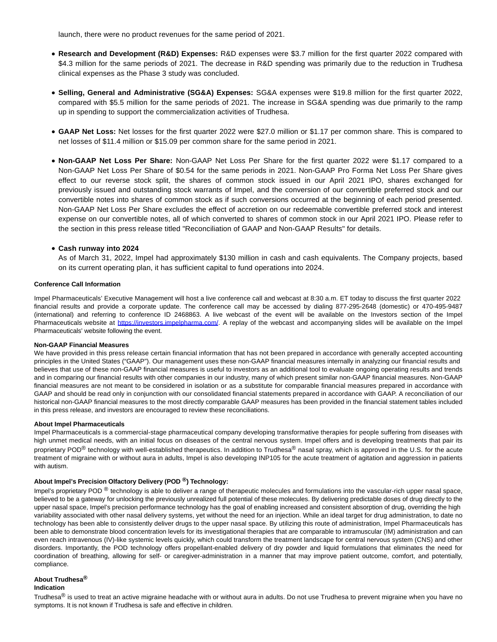launch, there were no product revenues for the same period of 2021.

- **Research and Development (R&D) Expenses:** R&D expenses were \$3.7 million for the first quarter 2022 compared with \$4.3 million for the same periods of 2021. The decrease in R&D spending was primarily due to the reduction in Trudhesa clinical expenses as the Phase 3 study was concluded.
- **Selling, General and Administrative (SG&A) Expenses:** SG&A expenses were \$19.8 million for the first quarter 2022, compared with \$5.5 million for the same periods of 2021. The increase in SG&A spending was due primarily to the ramp up in spending to support the commercialization activities of Trudhesa.
- **GAAP Net Loss:** Net losses for the first quarter 2022 were \$27.0 million or \$1.17 per common share. This is compared to net losses of \$11.4 million or \$15.09 per common share for the same period in 2021.
- **Non-GAAP Net Loss Per Share:** Non-GAAP Net Loss Per Share for the first quarter 2022 were \$1.17 compared to a Non-GAAP Net Loss Per Share of \$0.54 for the same periods in 2021. Non-GAAP Pro Forma Net Loss Per Share gives effect to our reverse stock split, the shares of common stock issued in our April 2021 IPO, shares exchanged for previously issued and outstanding stock warrants of Impel, and the conversion of our convertible preferred stock and our convertible notes into shares of common stock as if such conversions occurred at the beginning of each period presented. Non-GAAP Net Loss Per Share excludes the effect of accretion on our redeemable convertible preferred stock and interest expense on our convertible notes, all of which converted to shares of common stock in our April 2021 IPO. Please refer to the section in this press release titled "Reconciliation of GAAP and Non-GAAP Results" for details.

# **Cash runway into 2024**

As of March 31, 2022, Impel had approximately \$130 million in cash and cash equivalents. The Company projects, based on its current operating plan, it has sufficient capital to fund operations into 2024.

#### **Conference Call Information**

Impel Pharmaceuticals' Executive Management will host a live conference call and webcast at 8:30 a.m. ET today to discuss the first quarter 2022 financial results and provide a corporate update. The conference call may be accessed by dialing 877-295-2648 (domestic) or 470-495-9487 (international) and referring to conference ID 2468863. A live webcast of the event will be available on the Investors section of the Impel Pharmaceuticals website at [https://investors.impelpharma.com/.](https://www.globenewswire.com/Tracker?data=nCU7ORpKjG5bs9Nw0LKw7V4D2WKyw5PBJsDRozJLIBQ6s4EflNXRrqnHmdLYOaimZVbl7lKWvUxXL3KkP8QtdKToprA2jzX_hX1y6E74a3gQqPOXEc1mPPGMyiiqxUI8) A replay of the webcast and accompanying slides will be available on the Impel Pharmaceuticals' website following the event.

#### **Non-GAAP Financial Measures**

We have provided in this press release certain financial information that has not been prepared in accordance with generally accepted accounting principles in the United States ("GAAP"). Our management uses these non-GAAP financial measures internally in analyzing our financial results and believes that use of these non-GAAP financial measures is useful to investors as an additional tool to evaluate ongoing operating results and trends and in comparing our financial results with other companies in our industry, many of which present similar non-GAAP financial measures. Non-GAAP financial measures are not meant to be considered in isolation or as a substitute for comparable financial measures prepared in accordance with GAAP and should be read only in conjunction with our consolidated financial statements prepared in accordance with GAAP. A reconciliation of our historical non-GAAP financial measures to the most directly comparable GAAP measures has been provided in the financial statement tables included in this press release, and investors are encouraged to review these reconciliations.

# **About Impel Pharmaceuticals**

Impel Pharmaceuticals is a commercial-stage pharmaceutical company developing transformative therapies for people suffering from diseases with high unmet medical needs, with an initial focus on diseases of the central nervous system. Impel offers and is developing treatments that pair its proprietary POD<sup>®</sup> technology with well-established therapeutics. In addition to Trudhesa<sup>®</sup> nasal spray, which is approved in the U.S. for the acute treatment of migraine with or without aura in adults, Impel is also developing INP105 for the acute treatment of agitation and aggression in patients with autism.

# **About Impel's Precision Olfactory Delivery (POD ®) Technology:**

Impel's proprietary POD ® technology is able to deliver a range of therapeutic molecules and formulations into the vascular-rich upper nasal space, believed to be a gateway for unlocking the previously unrealized full potential of these molecules. By delivering predictable doses of drug directly to the upper nasal space, Impel's precision performance technology has the goal of enabling increased and consistent absorption of drug, overriding the high variability associated with other nasal delivery systems, yet without the need for an injection. While an ideal target for drug administration, to date no technology has been able to consistently deliver drugs to the upper nasal space. By utilizing this route of administration, Impel Pharmaceuticals has been able to demonstrate blood concentration levels for its investigational therapies that are comparable to intramuscular (IM) administration and can even reach intravenous (IV)-like systemic levels quickly, which could transform the treatment landscape for central nervous system (CNS) and other disorders. Importantly, the POD technology offers propellant-enabled delivery of dry powder and liquid formulations that eliminates the need for coordination of breathing, allowing for self- or caregiver-administration in a manner that may improve patient outcome, comfort, and potentially, compliance.

# **About Trudhesa®**

# **Indication**

Trudhesa $^{\circledR}$  is used to treat an active migraine headache with or without aura in adults. Do not use Trudhesa to prevent migraine when you have no symptoms. It is not known if Trudhesa is safe and effective in children.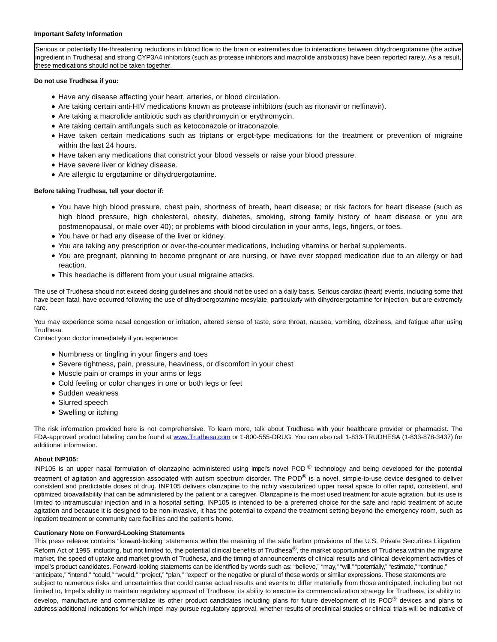### **Important Safety Information**

Serious or potentially life-threatening reductions in blood flow to the brain or extremities due to interactions between dihydroergotamine (the active ingredient in Trudhesa) and strong CYP3A4 inhibitors (such as protease inhibitors and macrolide antibiotics) have been reported rarely. As a result, these medications should not be taken together.

# **Do not use Trudhesa if you:**

- Have any disease affecting your heart, arteries, or blood circulation.
- Are taking certain anti-HIV medications known as protease inhibitors (such as ritonavir or nelfinavir).
- Are taking a macrolide antibiotic such as clarithromycin or erythromycin.
- Are taking certain antifungals such as ketoconazole or itraconazole.
- Have taken certain medications such as triptans or ergot-type medications for the treatment or prevention of migraine within the last 24 hours.
- Have taken any medications that constrict your blood vessels or raise your blood pressure.
- Have severe liver or kidney disease.
- Are allergic to ergotamine or dihydroergotamine.

# **Before taking Trudhesa, tell your doctor if:**

- You have high blood pressure, chest pain, shortness of breath, heart disease; or risk factors for heart disease (such as high blood pressure, high cholesterol, obesity, diabetes, smoking, strong family history of heart disease or you are postmenopausal, or male over 40); or problems with blood circulation in your arms, legs, fingers, or toes.
- You have or had any disease of the liver or kidney.
- You are taking any prescription or over-the-counter medications, including vitamins or herbal supplements.
- You are pregnant, planning to become pregnant or are nursing, or have ever stopped medication due to an allergy or bad reaction.
- This headache is different from your usual migraine attacks.

The use of Trudhesa should not exceed dosing guidelines and should not be used on a daily basis. Serious cardiac (heart) events, including some that have been fatal, have occurred following the use of dihydroergotamine mesylate, particularly with dihydroergotamine for injection, but are extremely rare.

You may experience some nasal congestion or irritation, altered sense of taste, sore throat, nausea, vomiting, dizziness, and fatigue after using Trudhesa.

Contact your doctor immediately if you experience:

- Numbness or tingling in your fingers and toes
- Severe tightness, pain, pressure, heaviness, or discomfort in your chest
- Muscle pain or cramps in your arms or legs
- Cold feeling or color changes in one or both legs or feet
- Sudden weakness
- Slurred speech
- Swelling or itching

The risk information provided here is not comprehensive. To learn more, talk about Trudhesa with your healthcare provider or pharmacist. The FDA-approved product labeling can be found at [www.Trudhesa.com o](https://www.globenewswire.com/Tracker?data=7mfn6ZTv7CmRlLzzdhxE5mFiSREC676wliqKnhJEUZwuOs6tXObZravJOJQIoFZdTkMNU-dMJLvQ29u3KQgwzDAeHKMPG6CN8ajCvd50iEJ1tGGrL6T39or-Frqiy3r78QNz86MZuhmSw1DpKJp_UQ==)r 1-800-555-DRUG. You can also call 1-833-TRUDHESA (1-833-878-3437) for additional information.

# **About INP105:**

INP105 is an upper nasal formulation of olanzapine administered using Impel's novel POD ® technology and being developed for the potential treatment of agitation and aggression associated with autism spectrum disorder. The POD<sup>®</sup> is a novel, simple-to-use device designed to deliver consistent and predictable doses of drug. INP105 delivers olanzapine to the richly vascularized upper nasal space to offer rapid, consistent, and optimized bioavailability that can be administered by the patient or a caregiver. Olanzapine is the most used treatment for acute agitation, but its use is limited to intramuscular injection and in a hospital setting. INP105 is intended to be a preferred choice for the safe and rapid treatment of acute agitation and because it is designed to be non-invasive, it has the potential to expand the treatment setting beyond the emergency room, such as inpatient treatment or community care facilities and the patient's home.

# **Cautionary Note on Forward-Looking Statements**

This press release contains "forward-looking" statements within the meaning of the safe harbor provisions of the U.S. Private Securities Litigation Reform Act of 1995, including, but not limited to, the potential clinical benefits of Trudhesa®, the market opportunities of Trudhesa within the migraine market, the speed of uptake and market growth of Trudhesa, and the timing of announcements of clinical results and clinical development activities of Impel's product candidates. Forward-looking statements can be identified by words such as: "believe," "may," "will," "potentially," "estimate," "continue," "anticipate," "intend," "could," "would," "project," "plan," "expect" or the negative or plural of these words or similar expressions. These statements are subject to numerous risks and uncertainties that could cause actual results and events to differ materially from those anticipated, including but not limited to, Impel's ability to maintain regulatory approval of Trudhesa, its ability to execute its commercialization strategy for Trudhesa, its ability to develop, manufacture and commercialize its other product candidates including plans for future development of its POD® devices and plans to address additional indications for which Impel may pursue regulatory approval, whether results of preclinical studies or clinical trials will be indicative of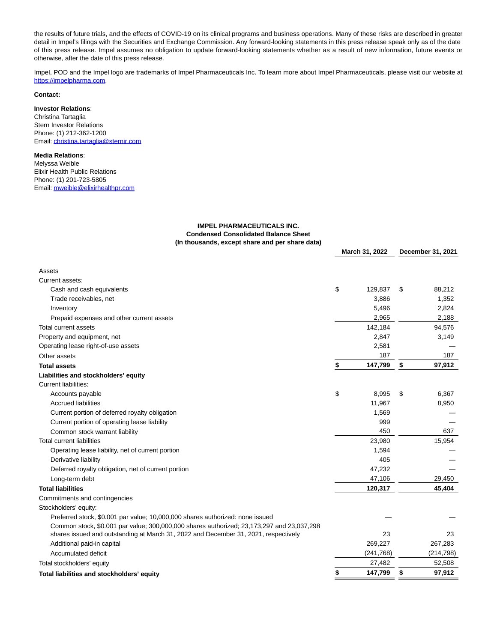the results of future trials, and the effects of COVID-19 on its clinical programs and business operations. Many of these risks are described in greater detail in Impel's filings with the Securities and Exchange Commission. Any forward-looking statements in this press release speak only as of the date of this press release. Impel assumes no obligation to update forward-looking statements whether as a result of new information, future events or otherwise, after the date of this press release.

Impel, POD and the Impel logo are trademarks of Impel Pharmaceuticals Inc. To learn more about Impel Pharmaceuticals, please visit our website at [https://impelpharma.com.](https://www.globenewswire.com/Tracker?data=nCU7ORpKjG5bs9Nw0LKw7W_w7GtLUOe6uNAFpUR2cZzt2f3RaN97iF-9Sg5gvb7mUTGatZ6XGyxHFXC_F8kj_Bqizb0eGYeSbN9iIOjFTYc=)

# **Contact:**

# **Investor Relations**:

Christina Tartaglia Stern Investor Relations Phone: (1) 212-362-1200 Email[: christina.tartaglia@sternir.com](https://www.globenewswire.com/Tracker?data=h3EfLfeNH9mXZbCIDPCACcabF1pnaJuwUWClaSeL0f_tJVfX9_ucsHCDwgd4lglZnkrAPfIu9SodTJVV_6CaB0_isNrqiYvq78MWkupgDXNCMuYEcB1XRi-hAtgnn4KM)

# **Media Relations**:

Melyssa Weible Elixir Health Public Relations Phone: (1) 201-723-5805 Email[: mweible@elixirhealthpr.com](https://www.globenewswire.com/Tracker?data=zZ2AH_F2HEalDI5MSI8KoRMeboV9oy_6apGx3XdNjPVLZsOB-yKjnlUbwruzhK30gTAIxNWOoMJ5_n-GhBAJQ5u3KFaqFK0BE-crTbzifejlFHe6ZdveE-LO8RKfflHX)

# **IMPEL PHARMACEUTICALS INC. Condensed Consolidated Balance Sheet (In thousands, except share and per share data)**

|                                                                                                                                                                                  | March 31, 2022 |            | December 31, 2021 |            |
|----------------------------------------------------------------------------------------------------------------------------------------------------------------------------------|----------------|------------|-------------------|------------|
| Assets                                                                                                                                                                           |                |            |                   |            |
| Current assets:                                                                                                                                                                  |                |            |                   |            |
| Cash and cash equivalents                                                                                                                                                        | \$             | 129,837    | \$                | 88,212     |
| Trade receivables, net                                                                                                                                                           |                | 3,886      |                   | 1,352      |
| Inventory                                                                                                                                                                        |                | 5,496      |                   | 2,824      |
| Prepaid expenses and other current assets                                                                                                                                        |                | 2,965      |                   | 2,188      |
| Total current assets                                                                                                                                                             |                | 142,184    |                   | 94,576     |
| Property and equipment, net                                                                                                                                                      |                | 2,847      |                   | 3,149      |
| Operating lease right-of-use assets                                                                                                                                              |                | 2,581      |                   |            |
| Other assets                                                                                                                                                                     |                | 187        |                   | 187        |
| <b>Total assets</b>                                                                                                                                                              | \$             | 147,799    | \$                | 97,912     |
| Liabilities and stockholders' equity                                                                                                                                             |                |            |                   |            |
| <b>Current liabilities:</b>                                                                                                                                                      |                |            |                   |            |
| Accounts payable                                                                                                                                                                 | \$             | 8,995      | \$                | 6,367      |
| <b>Accrued liabilities</b>                                                                                                                                                       |                | 11,967     |                   | 8,950      |
| Current portion of deferred royalty obligation                                                                                                                                   |                | 1,569      |                   |            |
| Current portion of operating lease liability                                                                                                                                     |                | 999        |                   |            |
| Common stock warrant liability                                                                                                                                                   |                | 450        |                   | 637        |
| <b>Total current liabilities</b>                                                                                                                                                 |                | 23,980     |                   | 15,954     |
| Operating lease liability, net of current portion                                                                                                                                |                | 1,594      |                   |            |
| Derivative liability                                                                                                                                                             |                | 405        |                   |            |
| Deferred royalty obligation, net of current portion                                                                                                                              |                | 47,232     |                   |            |
| Long-term debt                                                                                                                                                                   |                | 47,106     |                   | 29,450     |
| <b>Total liabilities</b>                                                                                                                                                         |                | 120,317    |                   | 45,404     |
| Commitments and contingencies                                                                                                                                                    |                |            |                   |            |
| Stockholders' equity:                                                                                                                                                            |                |            |                   |            |
| Preferred stock, \$0.001 par value; 10,000,000 shares authorized: none issued                                                                                                    |                |            |                   |            |
| Common stock, \$0.001 par value; 300,000,000 shares authorized; 23,173,297 and 23,037,298<br>shares issued and outstanding at March 31, 2022 and December 31, 2021, respectively |                | 23         |                   | 23         |
| Additional paid-in capital                                                                                                                                                       |                | 269,227    |                   | 267,283    |
| Accumulated deficit                                                                                                                                                              |                | (241, 768) |                   | (214, 798) |
| Total stockholders' equity                                                                                                                                                       |                | 27,482     |                   | 52,508     |
| Total liabilities and stockholders' equity                                                                                                                                       |                | 147,799    | \$                | 97,912     |
|                                                                                                                                                                                  |                |            |                   |            |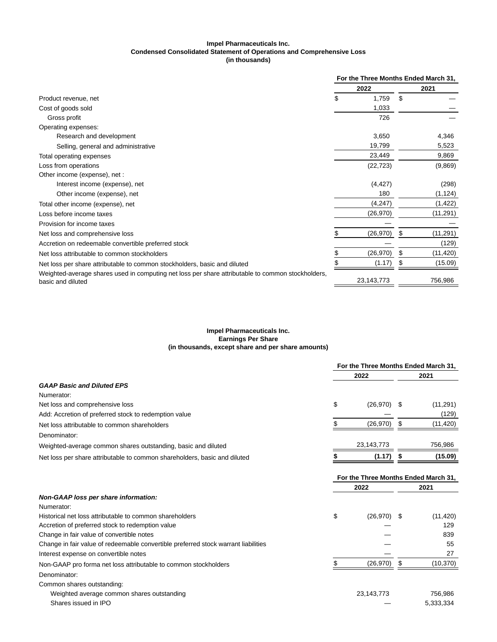#### **Impel Pharmaceuticals Inc. Condensed Consolidated Statement of Operations and Comprehensive Loss (in thousands)**

|                                                                                                                        | For the Three Months Ended March 31, |            |    |           |  |
|------------------------------------------------------------------------------------------------------------------------|--------------------------------------|------------|----|-----------|--|
|                                                                                                                        |                                      | 2022       |    | 2021      |  |
| Product revenue, net                                                                                                   |                                      | 1,759      | \$ |           |  |
| Cost of goods sold                                                                                                     |                                      | 1,033      |    |           |  |
| Gross profit                                                                                                           |                                      | 726        |    |           |  |
| Operating expenses:                                                                                                    |                                      |            |    |           |  |
| Research and development                                                                                               |                                      | 3,650      |    | 4,346     |  |
| Selling, general and administrative                                                                                    |                                      | 19,799     |    | 5,523     |  |
| Total operating expenses                                                                                               |                                      | 23,449     |    | 9,869     |  |
| Loss from operations                                                                                                   |                                      | (22, 723)  |    | (9,869)   |  |
| Other income (expense), net :                                                                                          |                                      |            |    |           |  |
| Interest income (expense), net                                                                                         |                                      | (4, 427)   |    | (298)     |  |
| Other income (expense), net                                                                                            |                                      | 180        |    | (1, 124)  |  |
| Total other income (expense), net                                                                                      |                                      | (4,247)    |    | (1,422)   |  |
| Loss before income taxes                                                                                               |                                      | (26, 970)  |    | (11, 291) |  |
| Provision for income taxes                                                                                             |                                      |            |    |           |  |
| Net loss and comprehensive loss                                                                                        |                                      | (26, 970)  | S. | (11,291)  |  |
| Accretion on redeemable convertible preferred stock                                                                    |                                      |            |    | (129)     |  |
| Net loss attributable to common stockholders                                                                           |                                      | (26, 970)  | \$ | (11,420)  |  |
| Net loss per share attributable to common stockholders, basic and diluted                                              |                                      | (1.17)     | S  | (15.09)   |  |
| Weighted-average shares used in computing net loss per share attributable to common stockholders,<br>basic and diluted |                                      | 23,143,773 |    | 756,986   |  |

# **Impel Pharmaceuticals Inc. Earnings Per Share (in thousands, except share and per share amounts)**

|                                                                           |      | For the Three Months Ended March 31, |      |                                              |  |
|---------------------------------------------------------------------------|------|--------------------------------------|------|----------------------------------------------|--|
|                                                                           | 2022 |                                      | 2021 |                                              |  |
| <b>GAAP Basic and Diluted EPS</b>                                         |      |                                      |      |                                              |  |
| Numerator:                                                                |      |                                      |      |                                              |  |
| Net loss and comprehensive loss                                           | \$   | (26, 970)                            | - \$ | (11, 291)                                    |  |
| Add: Accretion of preferred stock to redemption value                     |      |                                      |      | (129)                                        |  |
| Net loss attributable to common shareholders                              |      | (26, 970)                            |      | (11, 420)                                    |  |
| Denominator:                                                              |      |                                      |      |                                              |  |
| Weighted-average common shares outstanding, basic and diluted             |      | 23,143,773                           |      | 756,986                                      |  |
| Net loss per share attributable to common shareholders, basic and diluted |      | (1.17)                               |      | (15.09)                                      |  |
|                                                                           |      | 2022                                 |      | For the Three Months Ended March 31,<br>2021 |  |
|                                                                           |      |                                      |      |                                              |  |

| Non-GAAP loss per share information:                                               |                     |           |
|------------------------------------------------------------------------------------|---------------------|-----------|
| Numerator:                                                                         |                     |           |
| Historical net loss attributable to common shareholders                            | \$<br>$(26.970)$ \$ | (11, 420) |
| Accretion of preferred stock to redemption value                                   |                     | 129       |
| Change in fair value of convertible notes                                          |                     | 839       |
| Change in fair value of redeemable convertible preferred stock warrant liabilities |                     | 55        |
| Interest expense on convertible notes                                              |                     | 27        |
| Non-GAAP pro forma net loss attributable to common stockholders                    | (26, 970)           | (10, 370) |
| Denominator:                                                                       |                     |           |
| Common shares outstanding:                                                         |                     |           |
| Weighted average common shares outstanding                                         | 23,143,773          | 756.986   |
| Shares issued in IPO                                                               |                     | 5.333.334 |